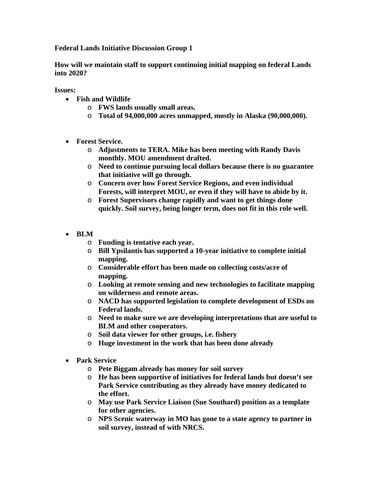**Federal Lands Initiative Discussion Group 1** 

**How will we maintain staff to support continuing initial mapping on federal Lands into 2020?** 

**Issues:** 

- **Fish and Wildlife** 
	- o **FWS lands usually small areas.**
	- o **Total of 94,000,000 acres unmapped, mostly in Alaska (90,000,000).**
- **Forest Service.** 
	- o **Adjustments to TERA. Mike has been meeting with Randy Davis monthly. MOU amendment drafted.**
	- o **Need to continue pursuing local dollars because there is no guarantee that initiative will go through.**
	- o **Concern over how Forest Service Regions, and even individual Forests, will interpret MOU, or even if they will have to abide by it.**
	- o **Forest Supervisors change rapidly and want to get things done quickly. Soil survey, being longer term, does not fit in this role well.**
- **BLM** 
	- o **Funding is tentative each year.**
	- o **Bill Ypsilantis has supported a 10-year initiative to complete initial mapping.**
	- o **Considerable effort has been made on collecting costs/acre of mapping.**
	- o **Looking at remote sensing and new technologies to facilitate mapping on wilderness and remote areas.**
	- o **NACD has supported legislation to complete development of ESDs on Federal lands.**
	- o **Need to make sure we are developing interpretations that are useful to BLM and other cooperators.**
	- o **Soil data viewer for other groups, i.e. fishery**
	- o **Huge investment in the work that has been done already**
- **Park Service** 
	- o **Pete Biggam already has money for soil survey**
	- o **He has been supportive of initiatives for federal lands but doesn't see Park Service contributing as they already have money dedicated to the effort.**
	- o **May use Park Service Liaison (Sue Southard) position as a template for other agencies.**
	- o **NPS Scenic waterway in MO has gone to a state agency to partner in soil survey, instead of with NRCS.**